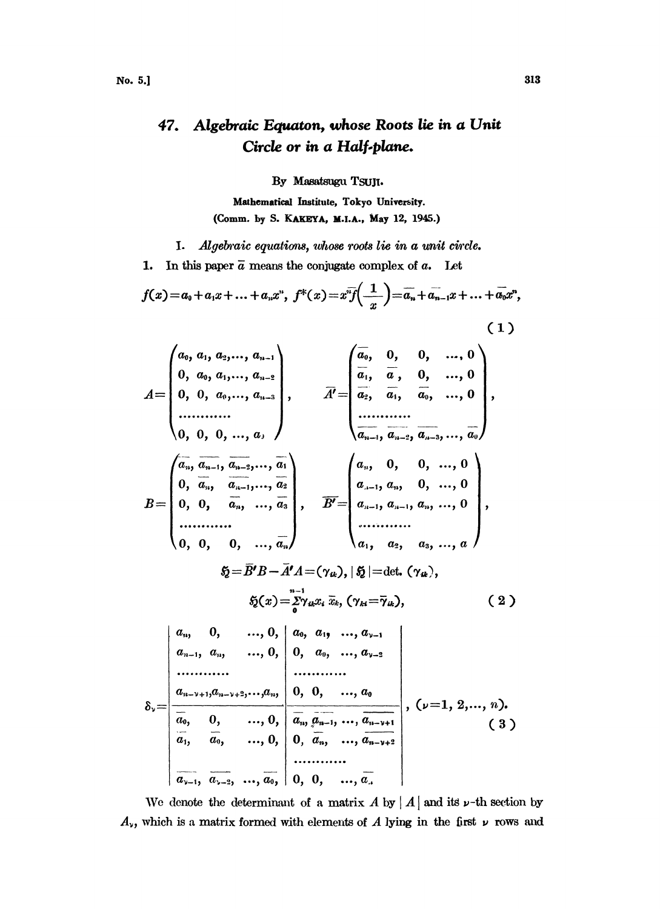## 47. Algebraic Equaton, whose Roots lie in a Unit Circle or in a Half-plane.

By Masatsugu TSUJI.

Mathematical Institute, Tokyo University. (Comm. by S. KAKEYA, M.I.A., May 12, 1945.)

I. Algebraic equations, whose roots lie in a unit circle.

In this paper  $\bar{a}$  means the conjugate complex of  $a$ . Let 1.

$$
f(x) = a_0 + a_1x + \dots + a_nx^n, \ f^*(x) = x^n \overline{f\left(\frac{1}{x}\right)} = \overline{a_n} + \overline{a_{n-1}}x + \dots + \overline{a_0}x^n,
$$
\n(1)

$$
A = \begin{pmatrix} a_0, a_1, a_2, ..., a_{n-1} \\ 0, a_0, a_1, ..., a_{n-2} \\ 0, 0, a_0, ..., a_{n-3} \\ \vdots \\ 0, 0, 0, ..., a_n \end{pmatrix}, \qquad \overline{A'} = \begin{pmatrix} \overline{a_0}, & 0, & 0, & ..., 0 \\ \overline{a_1}, & \overline{a}, & 0, & ..., 0 \\ \overline{a_2}, & \overline{a_1}, & \overline{a_0}, & ..., 0 \\ \vdots \\ \overline{a_{n-1}}, & \overline{a_0}, & ..., 0 \\ \vdots \\ \overline{a_{n-2}}, & \overline{a_{n-3}}, ..., \overline{a_n} \\ 0, 0, 0, ..., a_n \end{pmatrix}, \qquad \overline{A'} = \begin{pmatrix} \overline{a_0}, & 0, & 0, & ..., 0 \\ \overline{a_2}, & \overline{a_1}, & \overline{a_0}, & ..., 0 \\ \vdots \\ \overline{a_{n-1}, a_{n-2}}, & \overline{a_{n-2}}, ..., a_n \\ \vdots \\ \overline{a_{n-1}}, & \overline{a_{n-2}}, & ..., a_n \end{pmatrix},
$$
\n
$$
B = \begin{pmatrix} \overline{a_0}, & 0, & 0, & ..., 0 \\ 0, & 0, & 0, & ..., a_n \\ \vdots & \overline{a_{n-1}, a_n}, & \overline{a_{n-2}, a_{n-1}}, & a_n, & 0, & ..., 0 \\ \vdots \\ \overline{a_{n-1}, a_n}, & \overline{a_n}, & ..., a_n \\ \vdots \\ \overline{a_{n-1}, a_n}, & ..., 0, & \overline{a_0}, & a_1, & ..., a_{n-1} \\ \vdots & \vdots & \vdots \\ \overline{a_{n-1}, a_{n-1}, a_{n-1}, & ..., 0, & \overline{a_n}, a_{n-1}, & ..., a_{n-2} \\ \vdots \\ \overline{a_{n-1}, a_{n-1}, a_{n-1}, & ..., 0, & \overline{a_n}, a_{n-1}, & ..., a_{n-1} \\ \vdots \\ \overline{a_{n-1}, & \overline{a_0}, & ..., 0, & \overline{a_n}, a_{n-1}, & ..., a_{n-1} \\ \vdots \\ \overline{a_{n-1}, & \overline
$$

We denote the determinant of a matrix A by | A | and its  $\nu$ -th section by  $A_{\nu}$ , which is a matrix formed with elements of A lying in the first  $\nu$  rows and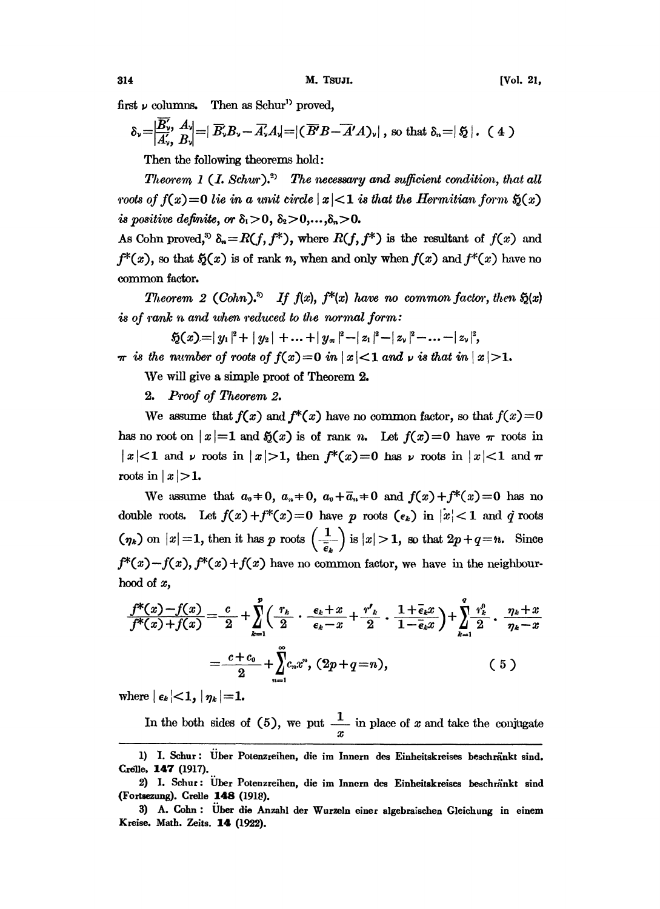first  $\nu$  columns. Then as Schur<sup>1</sup> proved.

$$
\delta_{\nu} = \left| \frac{B'_{\nu}}{A'_{\nu}}, \frac{A_{\nu}}{B_{\nu}} \right| = \left| \overrightarrow{B_{\nu}} B_{\nu} - \overrightarrow{A_{\nu}} A_{\nu} \right| = \left| \left( \overrightarrow{B'} \overrightarrow{B} - \overrightarrow{A'} A \right)_{\nu} \right|, \text{ so that } \delta_{\nu} = \left| \xi \right|. \quad (4)
$$

Then the following theorems hold:

Theorem 1 (1. Schur).<sup>2)</sup> The necessary and sufficient condition, that all roots of  $f(x)=0$  lie in a unit circle  $|x|<1$  is that the Hermitian form  $\mathfrak{H}(x)$ is positive definite, or  $\delta_1 > 0$ ,  $\delta_2 > 0, \ldots, \delta_n > 0$ .

As Cohn proved,<sup>3</sup>  $\delta_n=R(f, f^*)$ , where  $R(f, f^*)$  is the resultant of  $f(x)$  and  $f^{*}(x)$ , so that  $\mathfrak{H}(x)$  is of rank n, when and only when  $f(x)$  and  $f^{*}(x)$  have no common factor.

Theorem 2 (Cohn).<sup>3</sup> If  $f(x)$ ,  $f^{*}(x)$  have no common factor, then  $S(x)$ is of  $rank n$  and when  $reduced$  to the normal form:

$$
5(1) = |y_1|^2 + |y_2| + \ldots + |y_n|^2 - |z_1|^2 - |z_2|^2 - \ldots - |z_{\nu}|^2,
$$

 $\pi$  is the number of roots of  $f(x)=0$  in  $|x|<1$  and  $\nu$  is that in  $|x|>1$ .

We will give <sup>a</sup> simple proot of Theorem 2.

2. Proof of Theorem 2.

We assume that  $f(x)$  and  $f^{*}(x)$  have no common factor, so that  $f(x)=0$ has no root on  $|x|=1$  and  $\mathfrak{H}(x)$  is of rank n. Let  $f(x)=0$  have  $\pi$  roots in  $|x|<1$  and  $\nu$  roots in  $|x|>1$ , then  $f^*(x)=0$  has  $\nu$  roots in  $|x|<1$  and  $\pi$ roots in  $|x|>1$ .

We assume that  $a_0=0$ ,  $a_n=0$ ,  $a_0+\overline{a}_n=0$  and  $f(x)+f^*(x)=0$  has no double roots. Let  $f(x)+f^{*}(x)=0$  have p roots  $(\epsilon_k)$  in  $|x|<1$  and q roots /  $(\eta_k)$  on  $|x| = 1$ , then it has p roots  $\left(\frac{1}{\epsilon_k}\right)$  is  $|x| > 1$ , so that  $2p + q = n$ . Since  $f^*(x) - f(x)$ ,  $f^*(x) + f(x)$  have no common factor, we have in the neighbourhood of x,<br> $f^*(x) - f(x) = 0$ ,  $\sum_{k=1}^{n} f(x) = 0$ ,  $\sum_{k=1}^{n}$  $f^{*}(x)-f(x), f^{*}(x)+f(x)$  have no common factor, we have in the neighbourhood of  $x$ ,

$$
\frac{f^*(x) - f(x)}{f^*(x) + f(x)} = \frac{c}{2} + \sum_{k=1}^p \left( \frac{r_k}{2} \cdot \frac{\epsilon_k + x}{\epsilon_k - x} + \frac{r'_k}{2} \cdot \frac{1 + \overline{\epsilon}_k x}{1 - \overline{\epsilon}_k x} \right) + \sum_{k=1}^q \frac{r_k^0}{2} \cdot \frac{\eta_k + x}{\eta_k - x}
$$
\n
$$
= \frac{c + c_0}{2} + \sum_{n=1}^\infty c_n x^n, \ (2p + q = n), \tag{5}
$$

where  $\left| \epsilon_k \right| < 1, \left| \eta_k \right| = 1.$ 

In the both sides of (5), we put  $\frac{1}{x}$  in place of x and take the conjugate

<sup>1)</sup> I. Schur: Über Potenzreihen, die im Innern des Einheitskreises beschränkt sind. Crelle, 147 (1917).

<sup>2)</sup> I. Schur: Über Potenzreihen, die im Innern des Einheitskreises beschränkt sind (Fotaezung). Crelle 148 (1918).

<sup>3)</sup> A. Cohn: Über die Anzahl der Wurzeln einer algebraischen Gleichung in einem Kreise. Math. Zeits. 14 (1922).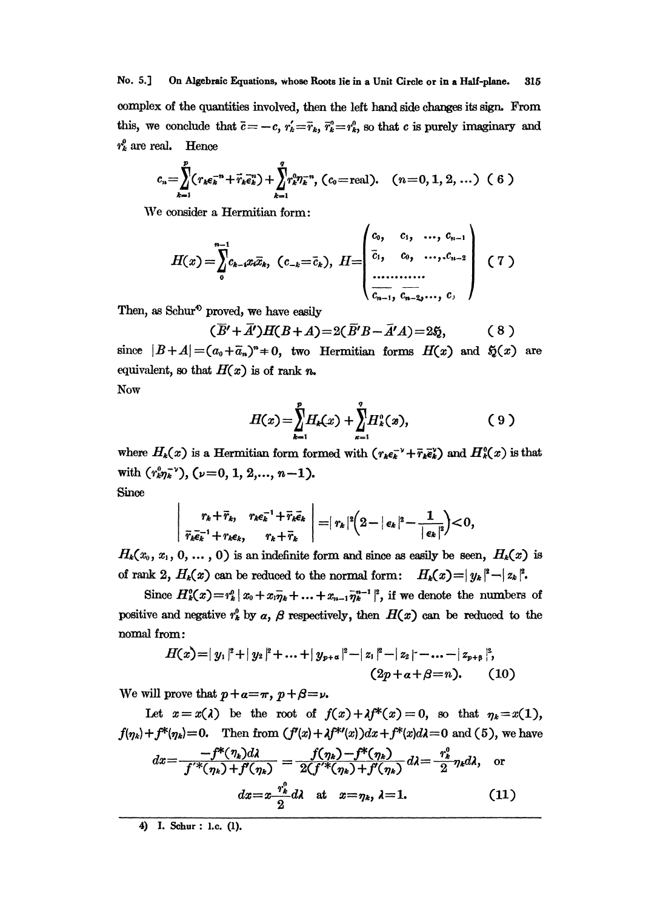No. 5.] On Algebraic Equations, whose Roots lie in a Unit Circle or in a Half-plane. 315 complex of the quantities involved, then the left hand side changes its sign. From this, we conclude that  $\bar{c} = -c$ ,  $r'_k = \bar{r}_k$ ,  $\bar{r}_k^0 = r_k^0$ , so that c is purely imaginary and  $r_k^{\mu}$  are real. Hence

$$
c_n = \sum_{k=1}^p (r_k \epsilon_k^{-n} + \vec{r}_k \vec{\epsilon}_k^{n}) + \sum_{k=1}^q r_k^0 \eta_k^{-n}, \ (c_0 = \text{real}). \quad (n = 0, 1, 2, \dots) \ (6)
$$

We consider a Hermitian form:

$$
H(x) = \sum_{0}^{n-1} c_{k-1} x_i \overline{x}_k, \quad (c_{-k} = \overline{c}_k), \quad H = \begin{pmatrix} c_0, & c_1, & \dots, & c_{n-1} \\ \overline{c}_1, & c_0, & \dots, & c_{n-2} \\ \vdots & \vdots & \ddots & \vdots \\ \overline{c_{n-1}, & c_{n-2}, \dots, & c_n} \end{pmatrix} \quad (7)
$$

Then, as Schur<sup>4</sup> proved, we have easily

$$
(\overline{B'} + \overline{A'})H(B+A) = 2(\overline{B'}B - \overline{A'}A) = 2\mathfrak{H},
$$
 (8)

 $\lambda$ 

 $\mathbf{r}$ 

since  $|B+A| = (a_0 + \overline{a}_n)^n + 0$ , two Hermitian forms  $H(x)$  and  $\mathfrak{H}(x)$  are equivalent, so that  $H(x)$  is of rank n.

Now

$$
H(x) = \sum_{k=1}^{p} H_k(x) + \sum_{\kappa=1}^{q} H_k^{\circ}(x), \qquad (9)
$$

where  $H_k(x)$  is a Hermitian form formed with  $(r_k \epsilon_k^{-1} + \bar{r}_k \bar{\epsilon}_k^{\nu})$  and  $H_k(x)$  is that with  $(r_k^0 r_k^{-\nu})$ ,  $(\nu = 0, 1, 2, ..., n-1)$ . Since

$$
\left|\begin{array}{cc}r_k+\vec r_k,&r_k\epsilon_k^{-1}+\vec r_k\vec e_k\\ \vec r_k\vec e_k^{-1}+r_k\epsilon_k,&r_k+\vec r_k\end{array}\right|=|r_k|^2\left(2-|\epsilon_k|^2-\frac{1}{|\epsilon_k|^2}\right)<0,
$$

 $H_k(x_0, x_1, 0, \ldots, 0)$  is an indefinite form and since as easily be seen,  $H_k(x)$  is of rank 2,  $H_k(x)$  can be reduced to the normal form:  $H_k(x) = |y_k|^2 - |z_k|^2$ .

Since  $H_k^0(x) = r_k^0 |x_0 + x_1 \bar{y}_k + ... + x_{n-1} \bar{y}_k^{n-1}|^2$ , if we denote the numbers of positive and negative  $r_k^0$  by  $\alpha$ ,  $\beta$  respectively, then  $H(x)$  can be reduced to the nomal from:

$$
H(x)=|y_1|^2+|y_2|^2+\ldots+|y_{p+\alpha}|^2-|z_1|^2-|z_2|-\ldots-|z_{p+\beta}|^2,
$$
  
\n
$$
(2p+\alpha+\beta=n). \qquad (10)
$$

We will prove that  $p + a = \pi$ ,  $p + \beta = \nu$ .

Let  $x = x(\lambda)$  be the root of  $f(x) + \lambda f^{*}(x) = 0$ , so that  $\eta_k = x(1)$ ,  $f(\eta_k) + f^*(\eta_k) = 0$ . Then from  $(f'(x) + f^{*}(x))dx + f^{*}(x)d\lambda = 0$  and (5), we have

$$
dx = \frac{-f^*(\eta_k)d\lambda}{f'^*(\eta_k) + f'(\eta_k)} = \frac{f(\eta_k) - f^*(\eta_k)}{2(f'^*(\eta_k) + f'(\eta_k))}d\lambda = \frac{r_k^0}{2}\eta_k d\lambda, \quad \text{or}
$$

$$
dx = x\frac{r_k^0}{2}d\lambda \quad \text{at} \quad x = \eta_k, \quad \lambda = 1. \tag{11}
$$

4) I. Schur : 1.c. (1).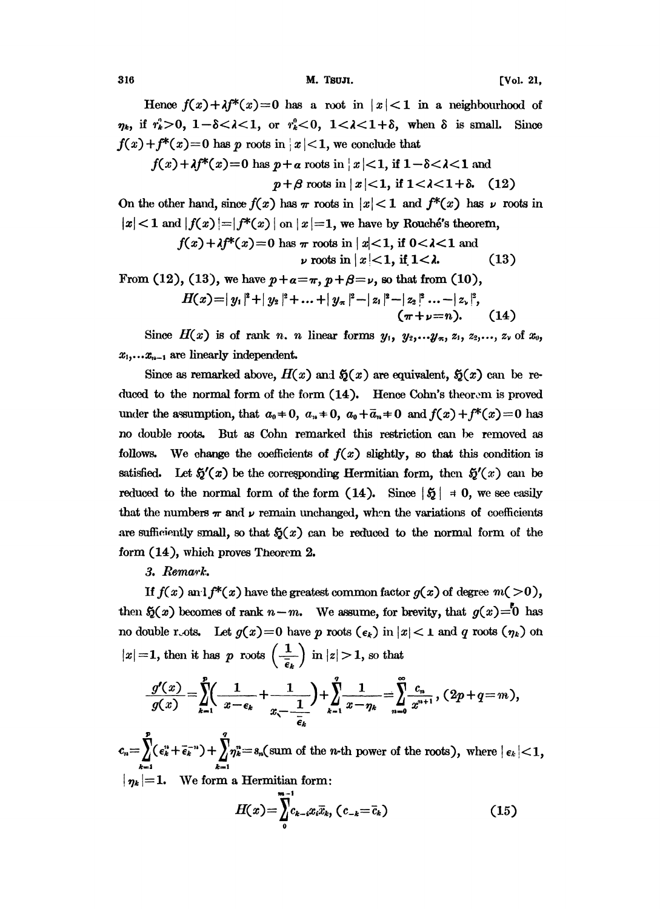316 **M. Tsuli. M. Tsuli. Contract (Vol. 21,**  $\blacksquare$ 

Hence  $f(x)+\lambda f^{*}(x)=0$  has a root in  $|x|<1$  in a neighbourhood of  $\eta_k$ , if  $r_k^0 > 0$ ,  $1 - \delta < \lambda < 1$ , or  $r_k^0 < 0$ ,  $1 < \lambda < 1 + \delta$ , when  $\delta$  is small. Since  $f(x) + f^{*}(x) = 0$  has p roots in  $|x| < 1$ , we conclude that

$$
f(x) + \lambda f^*(x) = 0 \text{ has } p + \alpha \text{ roots in } |x| < 1, \text{ if } 1 - \delta < \lambda < 1 \text{ and}
$$
  

$$
p + \beta \text{ roots in } |x| < 1, \text{ if } 1 < \lambda < 1 + \delta. \quad (12)
$$

 $p + \beta$  roots in  $|x| < 1$ , if  $1 < \lambda < 1 + \delta$ . (12)<br>On the other hand, since  $f(x)$  has  $\pi$  roots in  $|x| < 1$  and  $f^*(x)$  has  $\nu$  roots in  $|x| < 1$  and  $|f(x)| = |f^*(x)|$  on  $|x| = 1$ , we have by Rouché's theorem,<br>  $f(x) + \lambda f^*(x) = 0$  has  $\pi$  roots in  $|x| < 1$ , if  $0 < \lambda < 1$  and

$$
f(x)+\lambda f^*(x)=0 \text{ has } \pi \text{ roots in } |x|<1, \text{ if } 0<\lambda<1 \text{ and}
$$
  

$$
\nu \text{ roots in } |x|<1, \text{ if } 1<\lambda.
$$
 (13)

From (12), (13), we have  $p+a=\pi$ ,  $p+\beta=\nu$ , so that from (10),

$$
H(x)=|y_1|^2+|y_2|^2+\ldots+|y_n|^2-|z_1|^2-|z_2|^2\ldots-|z_n|^2,
$$
  
\n
$$
(\pi+\nu=n). \qquad (14)
$$

Since  $H(x)$  is of rank n. n linear forms  $y_1, y_2,...y_n, z_1, z_2,..., z_v$  of  $x_0$ ,  $x_1, \ldots x_{n-1}$  are linearly independent.

Since as remarked above,  $H(x)$  and  $\zeta(x)$  are equivalent,  $\zeta(x)$  can be reduced to the normal form of the form  $(14)$ . Hence Cohn's theorem is proved under the assumption, that  $a_0 \neq 0$ ,  $a_n \neq 0$ ,  $a_0 + \overline{a}_n \neq 0$  and  $f(x) + f^*(x) = 0$  has no double roots. But as Cohn remarked this restriction can be removed as follows. We change the coefficients of  $f(x)$  slightly, so that this condition is satisfied. Let  $\mathfrak{H}'(x)$  be the corresponding Hermitian form, then  $\mathfrak{H}'(x)$  can be reduced to the normal form of the form (14). Since  $|\xi| = 0$ , we see easily that the numbers  $\pi$  and  $\nu$  remain unchanged, when the variations of coefficients are sufficiently small, so that  $\mathfrak{H}(x)$  can be reduced to the normal form of the form  $(14)$ , which proves Theorem 2.

## 3.

If  $f(x)$  and  $f^{*}(x)$  have the greatest common factor  $g(x)$  of degree  $m(>0)$ , then  $\mathfrak{H}(x)$  becomes of rank  $n-m$ . We assume, for brevity, that  $g(x)=0$  has no double roots. Let  $g(x)=0$  have p roots  $(\epsilon_k)$  in  $|x| < 1$  and q roots  $(\eta_k)$  on  $|x|=1$ , then it has p roots  $\left(\frac{1}{\overline{\epsilon}_k}\right)$  in  $|z|>1$ , so that

$$
\frac{g'(x)}{g(x)} = \sum_{k=1}^{p} \left( \frac{1}{x - \epsilon_k} + \frac{1}{x - \frac{1}{\epsilon_k}} \right) + \sum_{k=1}^{q} \frac{1}{x - \eta_k} = \sum_{n=0}^{\infty} \frac{c_n}{x^{n+1}}, (2p + q = m),
$$

 $c_n = \sum_{k=1}^{\nu} (\epsilon_k^n + \bar{\epsilon}_k^{-n}) + \sum_{k=1}^{\eta} \eta_k^n = s_n(\text{sum of the } n\text{-th power of the roots}), \text{ where } |\epsilon_k| < 1,$  $|\eta_k|=1.$  We form a Hermitian form:

$$
H(x) = \sum_{\substack{0 \\ 0}}^{m-1} c_{k-i} x_i \overline{x}_k, (c_{-k} = \overline{c}_k)
$$
 (15)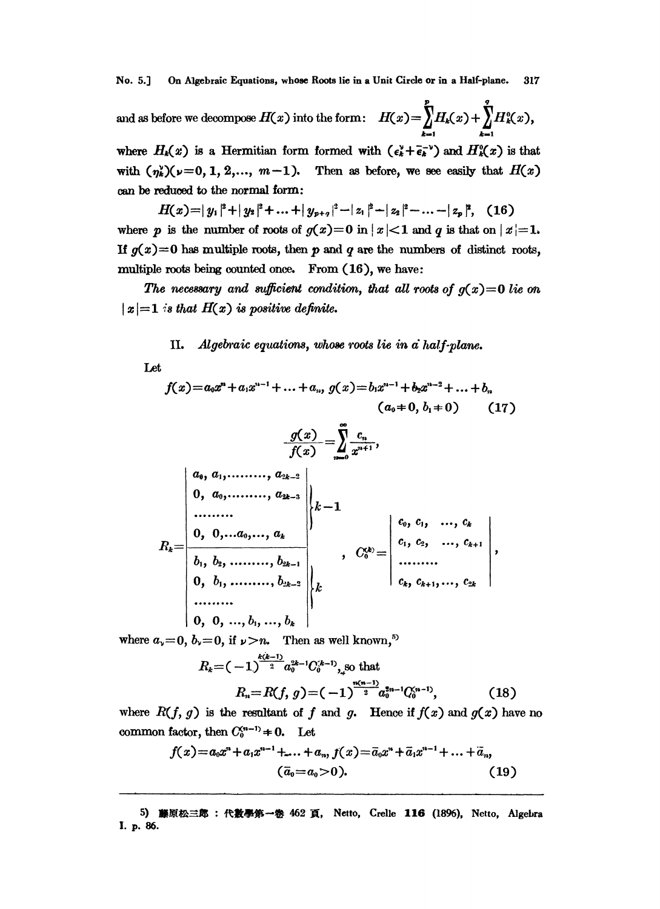No. 5.] On Algebraic Equations, whose Roots lie in a Unit Circle or in a Half-plane. 317

 $p$  q and as before we decompose  $H(x)$  into the form:  $H(x)=\int_{1}^{x}H_{k}(x)+\int_{0}^{x}H_{k}(x)$ where  $H_k(x)$  is a Hermitian form formed with  $(\epsilon_k^{\nu}+\bar{\epsilon}_k^{-\nu})$  and  $H_k^0(x)$  is that

with  $(\eta_k)(\nu=0, 1, 2,..., m-1)$ . Then as before, we see easily that  $H(x)$ can be reduced to the normal form:

 $H(x) = |y_1|^2 + |y_2|^2 + ... + |y_{p+q}|^2 - |z_1|^2 + |z_2|^2 - ... - |z_p|^2$ , (16) where p is the number of roots of  $g(x)=0$  in  $|x|<1$  and q is that on  $|x|=1$ . If  $g(x)=0$  has multiple roots, then p and q are the numbers of distinct roots, multiple roots being counted once. From (16), we have:

The necessary and sufficient condition, that all roots of  $g(x)=0$  lie on  $|x|=1$  is that  $H(x)$  is positive definite.

II. Algebraic equations, whose roots lie in  $\vec{a}$  half-plane.

Let

$$
f(x) = a_0 x^n + a_1 x^{n-1} + \dots + a_n, \ g(x) = b_1 x^{n-1} + b_2 x^{n-2} + \dots + b_n
$$
  
\n
$$
(a_0 + 0, b_1 + 0)
$$
 (17)  
\n
$$
\frac{g(x)}{f(x)} = \sum_{n=0}^{\infty} \frac{c_n}{x^{n+1}},
$$
  
\n
$$
\begin{vmatrix} a_0, a_1, \dots, a_{2k-2} \\ 0, a_0, \dots, a_{2k-3} \\ \dots & \dots & \dots \\ 0, 0, \dots, a_0, \dots, a_k \\ b_1, b_2, \dots, b_{2k-1} \\ 0, b_1, \dots, b_{2k-2} \\ \dots & \dots & \dots \\ 0, 0, 0, \dots, b_1, \dots, b_k \end{vmatrix} k - 1
$$
  
\n
$$
R_k = \begin{vmatrix} c_0, c_1, \dots, c_k \\ c_1, c_2, \dots, c_{k+1} \\ \dots & \dots \\ c_k, c_{k+1}, \dots, c_{2k} \end{vmatrix},
$$

where  $a_y=0$ ,  $b_y=0$ , if  $y>n$ . Then as well known,<sup>5)</sup>

$$
R_{k} = (-1)^{\frac{k(k-1)}{2}} a_0^{2k-1} C_0^{(k-1)}, \text{ so that}
$$

$$
R_n = R(f, g) = (-1)^{\frac{n(n-1)}{2}} a_0^{2n-1} C_0^{(n-1)}, \tag{18}
$$

where  $R(f, g)$  is the resultant of f and g. Hence if  $f(x)$  and  $g(x)$  have no common factor, then  $C_0^{(n-1)} \neq 0$ . Let

$$
f(x)=a_0x^n+a_1x^{n-1}+...+a_n, f(x)=\overline{a}_0x^n+\overline{a}_1x^{n-1}+...+\overline{a}_n,
$$
  
\n
$$
(\overline{a}_0=a_0>0).
$$
 (19)

<sup>5</sup>**) 藤原松三郎 : 代敦學第一卷 462 頁, Netto, Crelle 116 (1896), Netto, Algebra**<br>. 86.<br>. I. p. 86.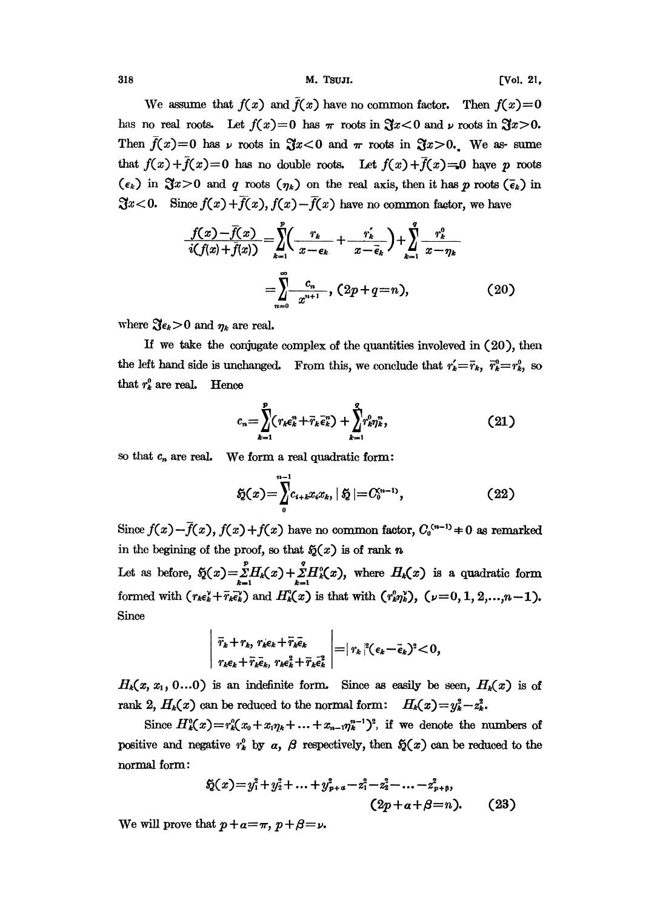318 M. TSUJL [Vol. 21,

We assume that  $f(x)$  and  $\overline{f}(x)$  have no common factor. Then  $f(x)=0$ has no real roots. Let  $f(x)=0$  has  $\pi$  roots in  $\Re x$  < 0 and  $\nu$  roots in  $\Re x>0$ . Then  $f(x)=0$  has  $\nu$  roots in  $\mathfrak{F}x<0$  and  $\pi$  roots in  $\mathfrak{F}x>0$ . We as-sume that  $f(x)+\overline{f}(x)=0$  has no double roots. Let  $f(x)+\overline{f}(x)=0$  have p roots  $(\epsilon_k)$  in  $\Im z>0$  and q roots  $(\eta_k)$  on the real axis, then it has p roots  $(\bar{\epsilon}_k)$  in  $\Im x$ <0. Since  $f(x) + \overline{f}(x)$ ,  $f(x) - \overline{f}(x)$  have no common factor, we have

$$
\frac{f(x) - \bar{f}(x)}{i(f(x) + \bar{f}(x))} = \sum_{k=1}^{p} \left( \frac{r_k}{x - \epsilon_k} + \frac{r'_k}{x - \bar{\epsilon}_k} \right) + \sum_{k=1}^{q} \frac{r_k^0}{x - \eta_k}
$$
\n
$$
= \sum_{n=0}^{\infty} \frac{c_n}{x^{n+1}}, \quad (2p + q = n), \tag{20}
$$

where  $\Im \epsilon_k > 0$  and  $\eta_k$  are real.

If we take the conjugate complex of the quantities involeved in (20), then the left hand side is unchanged. From this, we conclude that  $r'_k = \bar{r}_k$ ,  $\bar{r}_k^0 = r_k^0$ , so that  $r_k^0$  are real. Hence

$$
c_n = \sum_{k=1}^p (r_k \epsilon_k^n + \bar{r}_k \bar{\epsilon}_k^n) + \sum_{k=1}^q r_k^0 r_k^n, \qquad (21)
$$

so that  $c_n$  are real. We form a real quadratic form:

$$
\mathfrak{H}(x) = \sum_{0}^{n-1} c_{i+k} x_i x_k, \, |\mathfrak{H}| = C_0^{n-1}, \qquad (22)
$$

Since  $f(x) - \overline{f}(x)$ ,  $f(x) + f(x)$  have no common factor,  $C_0^{(n-1)} \neq 0$  as remarked

Let as before,  $\tilde{y}(x) = \sum_{k=1}^{y} H_k(x) + \sum_{k=1}^{y} H_k(x)$ , where  $H_k(x)$  is a quadratic form Let as before,  $\tilde{y}(x) = \sum_{k=1}^{n} H_k(x) + \sum_{k=1}^{n} H_k(x)$ , where<br>formed with  $(r_{k}\epsilon_k^{\vee} + \bar{r}_k\bar{\epsilon}_k^{\vee})$  and  $H_k(x)$  is that with Since

$$
\left. \frac{\bar{r}_k + r_k, r_k \epsilon_k + \bar{r}_k \bar{\epsilon}_k}{r_k \epsilon_k + \bar{r}_k \bar{\epsilon}_k}, \gamma_k \epsilon_k^2 + \bar{r}_k \bar{\epsilon}_k^2 \right| = |r_k|^2 (\epsilon_k - \bar{\epsilon}_k)^2 < 0,
$$

 $H_k(x, x_1, 0...0)$  is an indefinite form. Since as easily be seen,  $H_k(x)$  is of rank 2,  $H_k(x)$  can be reduced to the normal form:  $H_k(x) = y_k^2 - z_k^2$ .

Since  $H_k^0(x) = r_k^0(x_0 + x_1\eta_k + \ldots + x_{n-1}\eta_k^{n-1})^2$ , if we denote the numbers of Since  $H^o_k(x) = r^o_k(x_0 + x_1\eta_k + \dots + x_{n-1}\eta_k^{n-1})^2$ , if we denote the numbers of positive and negative  $r^o_k$  by  $\alpha$ ,  $\beta$  respectively, then  $\mathfrak{H}(x)$  can be reduced to the normal form: normal form:

$$
\mathfrak{H}(x) = y_1^2 + y_2^2 + \dots + y_{p+a}^2 - z_1^2 - z_2^2 - \dots - z_{p+b}^2,
$$
  
\n
$$
(2p+a+\beta=n). \qquad (23)
$$

We will prove that  $p + a = \pi$ ,  $p + \beta = \nu$ .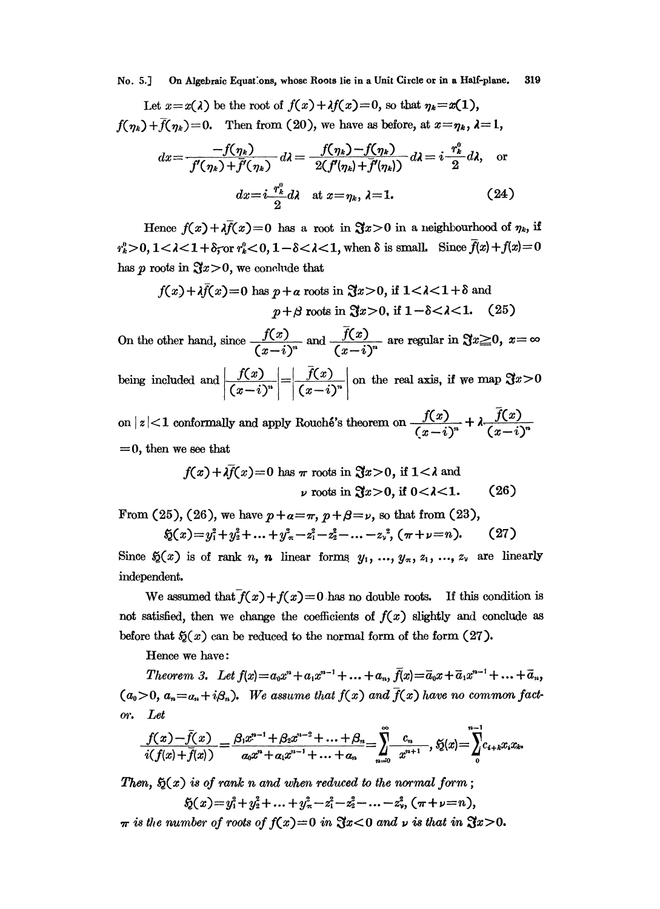No. 5.] On Algebraic Equations, whose Roots lie in a Unit Circle or in a Half-plane. 319

Let 
$$
x=x(\lambda)
$$
 be the root of  $f(x)+\lambda f(x)=0$ , so that  $\eta_k=x(1)$ ,  
 $f(\eta_k)+\overline{f}(\eta_k)=0$ . Then from (20), we have as before, at  $x=\eta_k$ ,  $\lambda=1$ ,

$$
dx = \frac{-f(\eta_k)}{f'(\eta_k) + \overline{f'}(\eta_k)} d\lambda = \frac{f(\eta_k) - f(\eta_k)}{2(f'(\eta_k) + \overline{f'}(\eta_k))} d\lambda = i \frac{r_k^0}{2} d\lambda, \text{ or}
$$

$$
dx = i \frac{r_k^0}{2} d\lambda \text{ at } x = \eta_k, \lambda = 1.
$$
 (24)

Hence  $f(x)+\lambda \bar{f}(x)=0$  has a root in  $\Re x>0$  in a neighbourhood of  $\eta_k$ , if  $r_k^0 > 0$ ,  $1 < \lambda < 1 + \delta_5$  or  $r_k^0 < 0$ ,  $1 - \delta < \lambda < 1$ , when  $\delta$  is small. Since  $\bar{f}(x) + f(x) = 0$ has p roots in  $\Im z > 0$ , we conclude that

$$
f(x) + \lambda \bar{f}(x) = 0
$$
 has  $p + a$  roots in  $\mathfrak{F}x > 0$ , if  $1 < \lambda < 1 + \delta$  and  
 $p + \beta$  roots in  $\mathfrak{F}x > 0$ , if  $1 - \delta < \lambda < 1$ . (25)

On the other hand, since  $\frac{f(x)}{(x-i)^n}$  and  $\frac{f(x)}{(x-i)^n}$  are regular in  $\Re x \ge 0$ ,  $x = \infty$ being included and  $\left| \frac{f(x)}{(x-i)^n} \right| = \left| \frac{\overline{f}(x)}{(x-i)^n} \right|$  on the real axis, if we map  $\Im x > 0$ 

on  $|z|$ <1 conformally and apply Rouché's theorem on  $\frac{f(x)}{(x-i)^n}$  $=0$ , then we see that

$$
f(x) + \lambda \bar{f}(x) = 0
$$
 has  $\pi$  roots in  $\mathfrak{F}x > 0$ , if  $1 < \lambda$  and  
 $\nu$  roots in  $\mathfrak{F}x > 0$ , if  $0 < \lambda < 1$ . (26)

From (25), (26), we have  $p+a=\pi$ ,  $p+\beta=\nu$ , so that from (23),

$$
5(1-x_1^2+y_2^2+\ldots+y_{\pi}^2-z_1^2-z_2^2-\ldots-z_{\nu}^2, (\pi+\nu=n). \qquad (27)
$$

Since  $\mathfrak{H}(x)$  is of rank n, n linear forms,  $y_1, ..., y_\pi, z_1, ..., z_\nu$  are linearly independent.

We assumed that  $f(x)+f(x)=0$  has no double roots. If this condition is not satisfied, then we change the coefficients of  $f(x)$  slightly and conclude as before that  $\mathfrak{H}(x)$  can be reduced to the normal form of the form  $(27)$ .

Hence we have:

Theorem 3. Let  $f(x) = a_0x^n + a_1x^{n-1} + ... + a_n$ ,  $\bar{f}(x) = \bar{a}_0x + \bar{a}_1x^{n-1} + ... + \bar{a}_n$ ,  $(a_0>0, a_n=a_n+i\beta_n)$ . We assume that  $f(x)$  and  $\overline{f}(x)$  have no common facto'. Let

$$
\frac{f(x)-\bar{f}(x)}{i(f(x)+\bar{f}(x))}=\frac{\beta_1x^{n-1}+\beta_2x^{n-2}+\ldots+\beta_n}{\alpha_0x^n+\alpha_1x^{n-1}+\ldots+\alpha_n}=\sum_{n=0}^{\infty}\frac{c_n}{x^{n+1}},\ \tilde{g}(x)=\sum_{0}^{n-1}c_{i+k}x_ix_k.
$$

Then,  $\mathfrak{H}(x)$  is of rank n and when reduced to the normal form;

$$
5(1-x_1^2+y_1^2+\ldots+y_n^2-z_1^2-z_2^2-\ldots-z_n^2, (\pi+\nu=n),
$$

 $\pi$  is the number of roots of  $f(x)=0$  in  $\Im x$ <0 and  $\nu$  is that in  $\Im x>0$ .